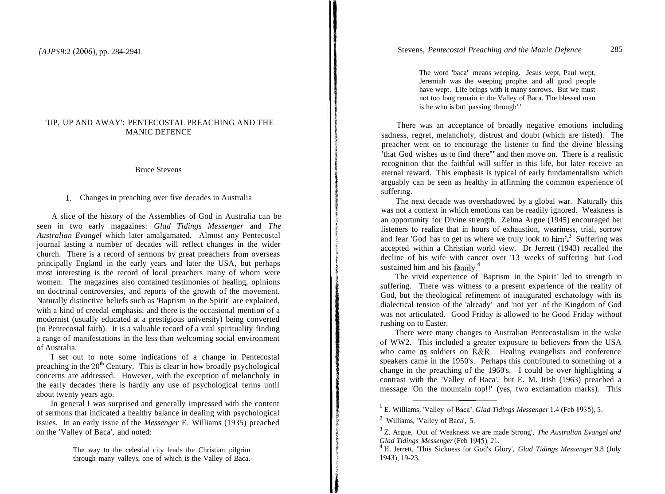# 'UP, UP AND AWAY': PENTECOSTAL PREACHING AND THE MANIC DEFENCE

#### Bruce Stevens

1. Changes in preaching over five decades in Australia

A slice of the history of the Assemblies of God in Australia can be seen in two early magazines: *Glad Tidings Messenger* and *The Australian Evangel* which later amalgamated. Almost any Pentecostal journal lasting a number of decades will reflect changes in the wider church. There is a record of sermons by great preachers fiom overseas principally England in the early years and later the USA, but perhaps most interesting is the record of local preachers many of whom were women. The magazines also contained testimonies of healing, opinions on doctrinal controversies, and reports of the growth of the movement. Naturally distinctive beliefs such as 'Baptism in the Spirit' are explained, with a kind of creedal emphasis, and there is the occasional mention of a modernist (usually educated at a prestigious university) being converted (to Pentecostal faith). It is a valuable record of a vital spirituality finding a range of manifestations in the less than welcoming social environment of Australia.

I set out to note some indications of a change in Pentecostal preaching in the  $20<sup>th</sup>$  Century. This is clear in how broadly psychological concerns are addressed. However, with the exception of melancholy in the early decades there is hardly any use of psychological terms until about twenty years ago.

In general I was surprised and generally impressed with the content of sermons that indicated a healthy balance in dealing with psychological issues. In an early issue of the *Messenger* E. Williams (1935) preached on the 'Valley of Baca', and noted:

> The way to the celestial city leads the Christian pilgrim through many valleys, one of which is the Valley of Baca.

The word 'baca' means weeping. Jesus wept, Paul wept, Jeremiah was the weeping prophet and all good people have wept. Life brings with it many sorrows. But we must not too long remain in the Valley of Baca. The blessed man is he who is but 'passing through'.'

There was an acceptance of broadly negative emotions including sadness, regret, melancholy, distrust and doubt (which are listed). The preacher went on to encourage the listener to find the divine blessing 'that God wishes us to find there" and then move on. There is a realistic recognition that the faithful will suffer in this life, but later receive an eternal reward. This emphasis is typical of early fundamentalism which arguably can be seen as healthy in affirming the common experience of suffering.

The next decade was overshadowed by a global war. Naturally this was not a context in which emotions can be readily ignored. Weakness is an opportunity for Divine strength. Zelma Argue (1945) encouraged her listeners to realize that in hours of exhaustion, weariness, trial, sorrow and fear 'God has to get us where we truly look to  $\lim^{3}$  Suffering was accepted within a Christian world view. Dr Jerrett (1943) recalled the decline of his wife with cancer over '13 weeks of suffering' but God sustained him and his family.<sup>4</sup>

The vivid experience of 'Baptism in the Spirit' led to strength in suffering. There was witness to a present experience of the reality of God, but the theological refinement of inaugurated eschatology with its dialectical tension of the 'already' and 'not yet' of the Kingdom of God was not articulated. Good Friday is allowed to be Good Friday without rushing on to Easter.

There were many changes to Australian Pentecostalism in the wake of WW2. This included a greater exposure to believers fiom the USA who came as soldiers on R&R. Healing evangelists and conference speakers came in the 1950's. Perhaps this contributed to something of a change in the preaching of the 1960's. I could be over highlighting a contrast with the 'Valley of Baca', but E. M. Irish (1963) preached a message 'On the mountain top!!' (yes, two exclamation marks). This

<sup>&</sup>lt;sup>1</sup> E. Williams, 'Valley of Baca', *Glad Tidings Messenger* 1.4 (Feb 1935), 5.

<sup>&#</sup>x27; Williams, 'Valley of Baca', 5.

<sup>&</sup>lt;sup>3</sup> Z. Argue, 'Out of Weakness we are made Strong', *The Australian Evangel and Glad Tidings Messenger* (Feb 1945), 21.

<sup>&</sup>lt;sup>4</sup> H. Jerrett, 'This Sickness for God's Glory', *Glad Tidings Messenger* 9.8 (July 1943), 19-23.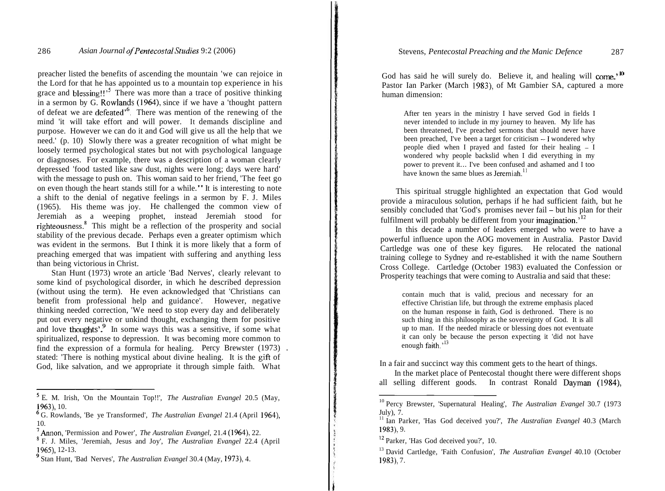preacher listed the benefits of ascending the mountain 'we can rejoice in the Lord for that he has appointed us to a mountain top experience in his grace and blessing!!<sup> $\frac{5}{2}$ </sup> There was more than a trace of positive thinking in a sermon by G. Rowlands (1964), since if we have a 'thought pattern of defeat we are defeated'6. There was mention of the renewing of the mind 'it will take effort and will power. It demands discipline and purpose. However we can do it and God will give us all the help that we need.' (p. 10) Slowly there was a greater recognition of what might be loosely termed psychological states but not with psychological language or diagnoses. For example, there was a description of a woman clearly depressed 'food tasted like saw dust, nights were long; days were hard' with the message to push on. This woman said to her friend, 'The feet go on even though the heart stands still for a while." It is interesting to note a shift to the denial of negative feelings in a sermon by F. J. Miles (1965). His theme was joy. He challenged the common view of Jeremiah as a weeping prophet, instead Jeremiah stood for righteousness.' This might be a reflection of the prosperity and social stability of the previous decade. Perhaps even a greater optimism which was evident in the sermons. But I think it is more likely that a form of preaching emerged that was impatient with suffering and anything less than being victorious in Christ.

Stan Hunt (1973) wrote an article 'Bad Nerves', clearly relevant to some kind of psychological disorder, in which he described depression (without using the term). He even acknowledged that 'Christians can benefit from professional help and guidance'. However, negative thinking needed correction, 'We need to stop every day and deliberately put out every negative or unkind thought, exchanging them for positive and love thoughts'. $9$  In some ways this was a sensitive, if some what spiritualized, response to depression. It was becoming more common to find the expression of a formula for healing. Percy Brewster (1973) . stated: 'There is nothing mystical about divine healing. It is the gift of God, like salvation, and we appropriate it through simple faith. What

E. M. Irish, 'On the Mountain Top!!', *The Australian Evangel* 20.5 (May, 1963), 10.

God has said he will surely do. Believe it, and healing will come.<sup>, 10</sup> Pastor Ian Parker (March 1983), of Mt Gambier SA, captured a more human dimension:

After ten years in the ministry I have served God in fields I never intended to include in my journey to heaven. My life has been threatened, I've preached sermons that should never have been preached. I've been a target for criticism - I wondered why people died when I prayed and fasted for their healing - <sup>I</sup> wondered why people backslid when I did everything in my power to prevent it... I've been confused and ashamed and I too have known the same blues as Jeremiah<sup> $11$ </sup>

This spiritual struggle highlighted an expectation that God would provide a miraculous solution, perhaps if he had sufficient faith, but he sensibly concluded that 'God's promises never fail – but his plan for their fulfilment will probably be different from your imagination.<sup> $12$ </sup>

In this decade a number of leaders emerged who were to have a powerful influence upon the AOG movement in Australia. Pastor David Cartledge was one of these key figures. He relocated the national training college to Sydney and re-established it with the name Southern Cross College. Cartledge (October 1983) evaluated the Confession or Prosperity teachings that were coming to Australia and said that these:

contain much that is valid, precious and necessary for an effective Christian life, but through the extreme emphasis placed on the human response in faith, God is dethroned. There is no such thing in this philosophy as the sovereignty of God. It is all up to man. If the needed miracle or blessing does not eventuate it can only be because the person expecting it 'did not have enough faith.<sup>13</sup>

In a fair and succinct way this comment gets to the heart of things.

In the market place of Pentecostal thought there were different shops all selling different goods. In contrast Ronald Dayman (1984),

G. Rowlands, 'Be ye Transformed', *The Australian Evangel* 21.4 (April 1964),

<sup>&</sup>lt;sup>7</sup> Annon, 'Permission and Power', *The Australian Evangel*, 21.4 (1964), 22.

<sup>&</sup>lt;sup>8</sup> F. J. Miles, 'Jeremiah, Jesus and Joy', *The Australian Evangel* 22.4 (April 1965), 12-13.

Stan Hunt, 'Bad Nerves', *The Australian Evangel* 30.4 (May, 1973), 4.

<sup>10</sup> Percy Brewster, 'Supernatural Healing', *The Australian Evangel* 30.7 (1973 July), 7.

<sup>11</sup> Ian Parker, 'Has God deceived you?', *The Australian Evangel* 40.3 (March 1983), 9.

<sup>&</sup>lt;sup>12</sup> Parker, 'Has God deceived you?', 10.<br><sup>13</sup> David Cartledge, 'Faith Confusion', *The Australian Evangel* 40.10 (October 1983), 7.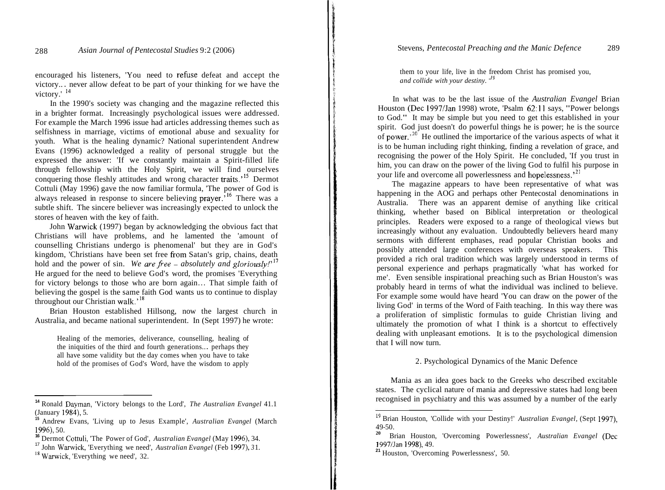encouraged his listeners, 'You need to refuse defeat and accept the victory.. . never allow defeat to be part of your thinking for we have the victory.'<sup>14</sup>

In the 1990's society was changing and the magazine reflected this in a brighter format. Increasingly psychological issues were addressed. For example the March 1996 issue had articles addressing themes such as selfishness in marriage, victims of emotional abuse and sexuality for youth. What is the healing dynamic? National superintendent Andrew Evans (1996) acknowledged a reality of personal struggle but the expressed the answer: 'If we constantly maintain a Spirit-filled life through fellowship with the Holy Spirit, we will find ourselves conquering those fleshly attitudes and wrong character traits.'<sup>15</sup> Dermot Cottuli (May 1996) gave the now familiar formula, 'The power of God is always released in response to sincere believing prayer.'I6 There was a subtle shift. The sincere believer was increasingly expected to unlock the stores of heaven with the key of faith.

John Warwick (1997) began by acknowledging the obvious fact that Christians will have problems, and he lamented the 'amount of counselling Christians undergo is phenomenal' but they are in God's kingdom, 'Christians have been set free from Satan's grip, chains, death hold and the power of sin. *We are free – absolutely and gloriously!*<sup>17</sup> He argued for the need to believe God's word, the promises 'Everything for victory belongs to those who are born again ... That simple faith of believing the gospel is the same faith God wants us to continue to display throughout our Christian walk.<sup>'18</sup>

Brian Houston established Hillsong, now the largest church in Australia, and became national superintendent. In (Sept 1997) he wrote:

Healing of the memories, deliverance, counselling, healing of the iniquities of the third and fourth generations.. . perhaps they all have some validity but the day comes when you have to take hold of the promises of God's Word, have the wisdom to apply

them to your life, live in the freedom Christ has promised you, *and collide with your destiny.* **'I9** 

In what was to be the last issue of the *Australian Evangel* Brian Houston (Dec 1997lJan 1998) wrote, 'Psalm 62:11 says, "Power belongs to God." It may be simple but you need to get this established in your spirit. God just doesn't do powerful things he is power; he is the source of power.<sup>20</sup> He outlined the importarice of the various aspects of what it is to be human including right thinking, finding a revelation of grace, and recognising the power of the Holy Spirit. He concluded, 'If you trust in him, you can draw on the power of the living God to fulfil his purpose in your life and overcome all powerlessness and hopelessness.<sup>21</sup>

The magazine appears to have been representative of what was happening in the AOG and perhaps other Pentecostal denominations in Australia. There was an apparent demise of anything like critical thinking, whether based on Biblical interpretation or theological principles. Readers were exposed to a range of theological views but increasingly without any evaluation. Undoubtedly believers heard many sermons with different emphases, read popular Christian books and possibly attended large conferences with overseas speakers. This provided a rich oral tradition which was largely understood in terms of personal experience and perhaps pragmatically 'what has worked for me'. Even sensible inspirational preaching such as Brian Houston's was probably heard in terms of what the individual was inclined to believe. For example some would have heard 'You can draw on the power of the living God' in terms of the Word of Faith teaching. In this way there was a proliferation of simplistic formulas to guide Christian living and ultimately the promotion of what I think is a shortcut to effectively dealing with unpleasant emotions. It is to the psychological dimension that I will now turn.

#### 2. Psychological Dynamics of the Manic Defence

Mania as an idea goes back to the Greeks who described excitable states. The cyclical nature of mania and depressive states had long been recognised in psychiatry and this was assumed by a number of the early

**<sup>14</sup>**Ronald Dayman, 'Victory belongs to the Lord', *The Australian Evangel* 41.1 (January 1984), 5.

**<sup>15</sup>**Andrew Evans, 'Living up to Jesus Example', *Australian Evangel* (March

<sup>1996), 50.&</sup>lt;br><sup>16</sup> Dermot Cottuli, 'The Power of God', *Australian Evangel* (May 1996), 34.<br><sup>17</sup> John Warwick, 'Everything we need', *Australian Evangel* (Feb 1997), *3* 1.<br><sup>18</sup> Warwick, 'Everything we need', 32.

<sup>19</sup> Brian Houston, 'Collide with your Destiny!' *Australian Evangel,* (Sept 1997), 49-50. **<sup>20</sup>**Brian Houston, 'Overcoming Powerlessness', *Australian Evangel* (Dec

<sup>19971</sup>Jan 1998), 49.

<sup>&</sup>lt;sup>21</sup> Houston, 'Overcoming Powerlessness', 50.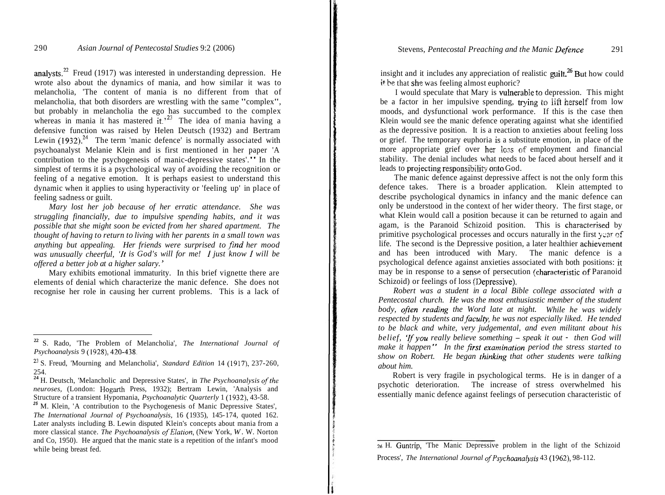analysts. $^{22}$  Freud (1917) was interested in understanding depression. He wrote also about the dynamics of mania, and how similar it was to melancholia, 'The content of mania is no different from that of melancholia, that both disorders are wrestling with the same "complex", but probably in melancholia the ego has succumbed to the complex whereas in mania it has mastered it.<sup>23</sup> The idea of mania having a defensive function was raised by Helen Deutsch (1932) and Bertram Lewin  $(1932)$ <sup>24</sup> The term 'manic defence' is normally associated with psychoanalyst Melanie Klein and is first mentioned in her paper 'A contribution to the psychogenesis of manic-depressive states'." In the simplest of terms it is a psychological way of avoiding the recognition or feeling of a negative emotion. It is perhaps easiest to understand this dynamic when it applies to using hyperactivity or 'feeling up' in place of feeling sadness or guilt.

*Mary lost her job because of her erratic attendance. She was struggling financially, due to impulsive spending habits, and it was possible that she might soon be evicted from her shared apartment. The thought of having to return to living with her parents in a small town was anything but appealing. Her friends were surprised to find her mood was unusually cheerful, 'It is God's will for me! I just know 1 will be offered a better job at a higher salary.* '

Mary exhibits emotional immaturity. In this brief vignette there are elements of denial which characterize the manic defence. She does not recognise her role in causing her current problems. This is a lack of insight and it includes any appreciation of realistic guilt.<sup>26</sup> But how could it be that she was feeling almost euphoric?

I would speculate that Mary is vulnerable to depression. This might be a factor in her impulsive spending, trying to lift herself from low moods, and dysfunctional work performance. If this is the case then Klein would see the manic defence operating against what she identified as the depressive position. It is a reaction to anxieties about feeling loss or grief. The temporary euphoria is a substitute emotion, in place of the more appropriate grief over her lcss of employment and financial stability. The denial includes what needs to be faced about herself and it leads to projecting responsibility onto God.

The manic defence against depressive affect is not the only form this defence takes. There is a broader application. Klein attempted to describe psychological dynamics in infancy and the manic defence can only be understood in the context of her wider theory. The first stage, or what Klein would call a position because it can be returned to again and agam, is the Paranoid Schizoid position. This is characterised by primitive psychological processes and occurs naturally in the first year of life. The second is the Depressive position, a later healthier achievement and has been introduced with Mary. The manic defence is a psychological defence against anxieties associated with both positions: **it**  may be in response to a sense of persecution (characteristic of Paranoid Schizoid) or feelings of loss (Depressive).

*Robert was a student in a local Bible college associated with a Pentecostal church. He was the most enthusiastic member of the student body, often reading the Word late at night. While he was widely respected by students and faculry, he was not especially liked. He tended to be black and white, very judgemental, and even militant about his belief, 'If you really believe something – speak it out - then God will make it happen" In the jirst examination period the stress started to*  show on Robert. He began thinking that other students were talking *about him.* 

Robert is very fragile in psychological terms. He is in danger of a psychotic deterioration. The increase of stress overwhelmed his essentially manic defence against feelings of persecution characteristic of

**<sup>22</sup>**S. Rado, 'The Problem of Melancholia', *The International Journal of Psychoanalysis* 9 (1928), 420-438.

<sup>&</sup>lt;sup>23</sup> S. Freud, 'Mourning and Melancholia', *Standard Edition* 14 (1917), 237-260, 254.

<sup>&</sup>lt;sup>24</sup> H. Deutsch, 'Melancholic and Depressive States', in *The Psychoanalysis of the neuroses*, (London: Hogarth Press, 1932); Bertram Lewin, 'Analysis and Structure of a transient Hypomania, *Psychoanalytic Quarterly* 1 (1932), 43-58.

**<sup>25</sup>**M. Klein, 'A contribution to the Psychogenesis of Manic Depressive States', *The International Journal of Psychoanalysis, 16 (1935), 145-174, quoted 162.* Later analysts including B. Lewin disputed Klein's concepts about mania from a more classical stance. *The Psychoanalysis of Elation*, (New York, *W*. W. Norton and Co, 1950). He argued that the manic state is a repetition of the infant's mood while being breast fed.

*<sup>26</sup>*H. Guntrip, 'The Manic Depressive problem in the light of the Schizoid Process', *The International Journal ofPsychoanalysis* 43 (1962), 98-1 12.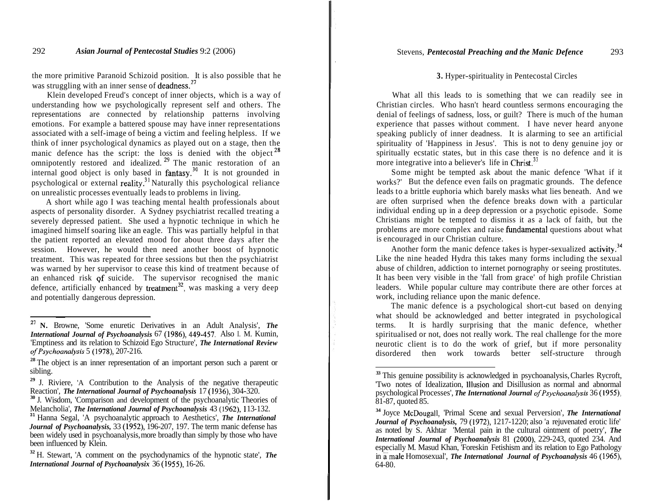#### Stevens, *Pentecostal Preaching and the Manic Defence* 293

### 292 *Asian Journal of Pentecostal Studies* 9:2 (2006)

the more primitive Paranoid Schizoid position. It is also possible that he was struggling with an inner sense of deadness.<sup>27</sup>

Klein developed Freud's concept of inner objects, which is a way of understanding how we psychologically represent self and others. The representations are connected by relationship patterns involving emotions. For example a battered spouse may have inner representations associated with a self-image of being a victim and feeling helpless. If we think of inner psychological dynamics as played out on a stage, then the manic defence has the script: the loss is denied with the object<sup>1</sup> omnipotently restored and idealized. *29* The manic restoration of an internal good object is only based in fantasy.<sup>39</sup> It is not grounded in psychological or external reality.31 Naturally this psychological reliance on unrealistic processes eventually leads to problems in living.

A short while ago I was teaching mental health professionals about aspects of personality disorder. A Sydney psychiatrist recalled treating a severely depressed patient. She used a hypnotic technique in which he imagined himself soaring like an eagle. This was partially helpful in that the patient reported an elevated mood for about three days after the session. However, he would then need another boost of hypnotic treatment. This was repeated for three sessions but then the psychiatrist was warned by her supervisor to cease this kind of treatment because of an enhanced risk gf suicide. The supervisor recognised the manic defence, artificially enhanced by treatment<sup>32</sup>, was masking a very deep and potentially dangerous depression.

## **3.** Hyper-spirituality in Pentecostal Circles

What all this leads to is something that we can readily see in Christian circles. Who hasn't heard countless sermons encouraging the denial of feelings of sadness, loss, or guilt? There is much of the human experience that passes without comment. I have never heard anyone speaking publicly of inner deadness. It is alarming to see an artificial spirituality of 'Happiness in Jesus'. This is not to deny genuine joy or spiritually ecstatic states, but in this case there is no defence and it is more integrative into a believer's life in Christ. $^{33}$ 

Some might be tempted ask about the manic defence 'What if it works?' But the defence even fails on pragmatic grounds. The defence leads to a brittle euphoria which barely masks what lies beneath. And we are often surprised when the defence breaks down with a particular individual ending up in a deep depression or a psychotic episode. Some Christians might be tempted to dismiss it as a lack of faith, but the problems are more complex and raise fundamental questions about what is encouraged in our Christian culture.

Another form the manic defence takes is hyper-sexualized activity.<sup>34</sup> Like the nine headed Hydra this takes many forms including the sexual abuse of children, addiction to internet pornography or seeing prostitutes. It has been very visible in the 'fall from grace' of high profile Christian leaders. While popular culture may contribute there are other forces at work, including reliance upon the manic defence.

The manic defence is a psychological short-cut based on denying what should be acknowledged and better integrated in psychological terms. It is hardly surprising that the manic defence, whether spiritualised or not, does not really work. The real challenge for the more neurotic client is to do the work of grief, but if more personality disordered then work towards better self-structure through

**<sup>27</sup> N.** Browne, 'Some enuretic Derivatives in an Adult Analysis', *The International Journal of Psychoanalysis* 67 (1986), 449-457. Also I. M. Kumin, 'Emptiness and its relation to Schizoid Ego Structure', *The International Review ofPsychoanalysis* 5 (1978), 207-216.

**<sup>28</sup>**The object is an inner representation of an important person such a parent or sibling.

<sup>&</sup>lt;sup>29</sup> J. Riviere, 'A Contribution to the Analysis of the negative therapeutic Reaction', *The International Journal of Psychoanalysis* 17 (1936), 304-320.

<sup>&</sup>lt;sup>30</sup> J. Wisdom, *Comparison and development of the psychoanalytic Theories of Melancholia', <i>The International Journal of Psychoanalysis* <sup>43</sup> (1962), 113-132.

<sup>&</sup>lt;sup>31</sup> Hanna Segal, 'A psychoanalytic approach to Aesthetics', *The International Journal of Psychoanalysis,* 33 (1952), 196-207, 197. The term manic defense has been widely used in psychoanalysis, more broadly than simply by those who have been influenced by Klein.

**<sup>32</sup>**H. Stewart, 'A comment on the psychodynamics of the hypnotic state', *The International Journal of Psychoanalysix 36 (1955), 16-26.* 

**<sup>33</sup>**This genuine possibility is acknowledged in psychoanalysis, Charles Rycroft, 'Two notes of Idealization, lllusion and Disillusion as normal and abnormal psychological Processes', *The International Journal ofPsychoanalysis* 36 (1955), 81-87, quoted 85.

**<sup>34</sup>**Joyce McDougall, 'Primal Scene and sexual Perversion', *The International Journal of Psychoanalysis,* 79 (1972), 1217-1220; also 'a rejuvenated erotic life' as noted by S. Akhtar 'Mental pain in the cultural ointment of poetry', *The International Journal of Psychoanalysis* 81 (2000), 229-243, quoted 234. And especially M. Masud Khan, 'Foreskin Fetishism and its relation to Ego Pathology in a male Homosexual', *The International Journal of Psychoanalysis* 46 (1965), 64-80.